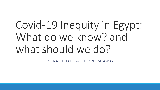# Covid-19 Inequity in Egypt: What do we know? and what should we do?

ZEINAB KHADR & SHERINE SHAWKY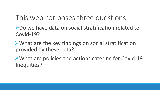# This webinar poses three questions

▶ Do we have data on social stratification related to Covid-19?

What are the key findings on social stratification provided by these data?

**►What are policies and actions catering for Covid-19** Inequities?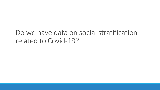### Do we have data on social stratification related to Covid-19?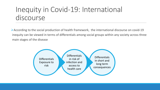# Inequity in Covid-19: International discourse

According to the social production of health framework, the international discourse on covid-19 inequity can be viewed in terms of differentials among social groups within any society across three main stages of the disease

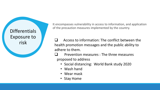**Differentials** Exposure to

It encompasses vulnerability in access to information, and application of the precaution measures implemented by the country.

 $risk$   $\Box$  Access to information: The conflict between the risk health promotion messages and the public ability to adhere to them.

> Prevention measures : The three measures proposed to address

- Social distancing: World Bank study 2020
- Wash hand
- Wear mask
- Stay Home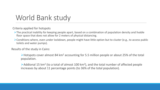### World Bank study

Criteria applied for hotspots

- $\triangleright$ The practical inability for keeping people apart, based on a combination of population density and livable floor space that does not allow for 2 meters of physical distancing.
- Conditions where, even under lockdown, people might have little option but to cluster (e.g., to access public toilets and water pumps).

Results of the study in Cairo:

 $\triangleright$  Hotspots cover almost 84 km<sup>2</sup> accounting for 5.5 million people or about 25% of the total population.

Addional 15 km<sup>2</sup> (to a total of almost 100 km<sup>2</sup>), and the total number of affected people increases by about 11 percentage points (to 36% of the total population).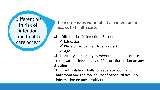**Differentials** in risk of infection and health care access

It encompasses vulnerability in infection and access to health care.

- $\Box$  Differentials in infection (Baseera)
	- $\checkmark$  Education
	- $\checkmark$  Place of residence (Urban/ rural)
	- $\sqrt{A}$ ge
- Health system ability to meet the needed service for the various level of covid-19. (no information on any stratifier )
- Self Isolation : Calls for separate room and bathroom and the availability of other utilities. (no information on any stratifier)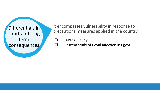short and long term consequences

It encompasses vulnerability in response to Differentials in **Differentials in Differentials in Differentials in Differentials** in **Differentials Example 2014 Example 2014 Example 2014 Example 2014 Example 2014 Example 2014 Example 2014 Example** 

CAPMAS Study

Baseera study of Covid infection in Egypt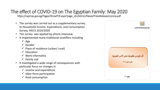#### The effect of COVID-19 on The Egyptian Family: May 2020

https://capmas.gov.eg/Pages/ShowPDF.aspx?page\_id=/Admin/News/PressRelease/corona.pdf

- The survey was carried out as a supplementary survey to Household Income, Expenditure, and Consumption Survey, HIECS 2019/2020
- The survey was applied by phone interview
- It implemented many traditional stratifiers including
	- $\sqrt{A}$ ge
	- Gender
	- $\checkmark$  Place of residence (urban/ rural)
	- $\checkmark$  Education
	- $\checkmark$  Work informality
	- $\checkmark$  Family size
- It investigated a wide range of consequences with particular focus on changes in
	- $\checkmark$  income and expenditure
	- $\checkmark$  labor force participation
	- $\checkmark$  food consumption

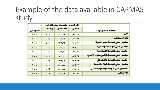# Example of the data available in CAPMAS study

|                                  | اثر نيروس ڪورونا علي الدخل               |                                     |                         |                           |
|----------------------------------|------------------------------------------|-------------------------------------|-------------------------|---------------------------|
| الحالة التعليمية                 | إنخضض                                    | كعما هو                             | إرتقع                   | الاجمالي                  |
| أأمي                             | $A \circ \mathcal{A}$                    | 25.5                                | ι,ι                     | $\chi_{\rm{max}}$         |
| يقرا ويكتب                       | $\lambda \lambda$ , yr                   | va, Y                               | $\mathbf{z}_s$ .        | $\sqrt{2}$                |
| حاصل على شهادة معو الأمية        | $\mathbf{v} \propto \mathbf{v}$          | $\mathbf{Y} \mathbf{Y}, \mathbf{T}$ | $\phi_{s} \mathbf{v}$   | $\chi_{\rm{max}}$         |
| حاصل على شهادة الابتدائية        | Av,Y                                     | 11, 5                               | $\sim 1.5$              | $\chi_{\rm{max}}$         |
| حاصل على شهادة الاعدادية         | A£,T                                     | $\mathbf{v} \diamond, \mathbf{r}$   | $\mathbb{E}_\epsilon$ . | $\chi_{\rm{max}}$         |
| حاصل على شهادة ثانوي عام / أزهري | $\mathbf{A} \mathbf{B}, \mathbf{B}$      | $\mathbf{r}, \mathbf{r}$            | .<br>Sila               | $\sqrt{2}$                |
| حاصل على شهادة ثانوي فق          | $\overline{\mathbf{v} \circ \mathbf{v}}$ | ۲۳,٦                                | $\mathbf{v}_s$ .        | $\sqrt{2}$                |
| حاصل علي شهادة فوق التوسط        | 0.9, T                                   | $\epsilon$ , $\lambda$              | .<br>Sila               | $\mathfrak{t}$ , .        |
| حاصل على شهادة جامعية فاعلى      | EA,V                                     | $\phi_{\text{max}}$                 | $\Gamma_{\rm c}$ .      | $\mathbf{t}$ , ,          |
| الاجمالى                         | vr,o                                     | Yo, A                               | $\mathbf{v}_s$ .        | $\hat{\mathbf{y}}$ .<br>. |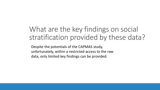## What are the key findings on social stratification provided by these data?

Despite the potentials of the CAPMAS study, unfortunately, within a restricted access to the raw data, only limited key findings can be provided.